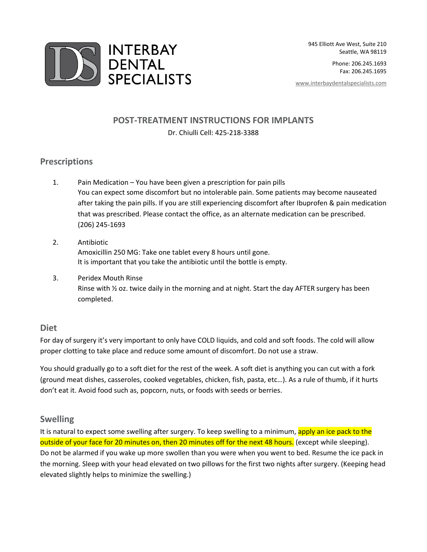

Phone: 206.245.1693 Fax: 206.245.1695

[www.interbaydentalspecialists.com](http://www.interbaydentalspecialists.com/)

# **POST-TREATMENT INSTRUCTIONS FOR IMPLANTS**

#### Dr. Chiulli Cell: 425-218-3388

### **Prescriptions**

- 1. Pain Medication You have been given a prescription for pain pills You can expect some discomfort but no intolerable pain. Some patients may become nauseated after taking the pain pills. If you are still experiencing discomfort after Ibuprofen & pain medication that was prescribed. Please contact the office, as an alternate medication can be prescribed. (206) 245-1693
- 2. Antibiotic Amoxicillin 250 MG: Take one tablet every 8 hours until gone. It is important that you take the antibiotic until the bottle is empty.
- 3. Peridex Mouth Rinse Rinse with ½ oz. twice daily in the morning and at night. Start the day AFTER surgery has been completed.

### **Diet**

For day of surgery it's very important to only have COLD liquids, and cold and soft foods. The cold will allow proper clotting to take place and reduce some amount of discomfort. Do not use a straw.

You should gradually go to a soft diet for the rest of the week. A soft diet is anything you can cut with a fork (ground meat dishes, casseroles, cooked vegetables, chicken, fish, pasta, etc…). As a rule of thumb, if it hurts don't eat it. Avoid food such as, popcorn, nuts, or foods with seeds or berries.

### **Swelling**

It is natural to expect some swelling after surgery. To keep swelling to a minimum, apply an ice pack to the outside of your face for 20 minutes on, then 20 minutes off for the next 48 hours. (except while sleeping). Do not be alarmed if you wake up more swollen than you were when you went to bed. Resume the ice pack in the morning. Sleep with your head elevated on two pillows for the first two nights after surgery. (Keeping head elevated slightly helps to minimize the swelling.)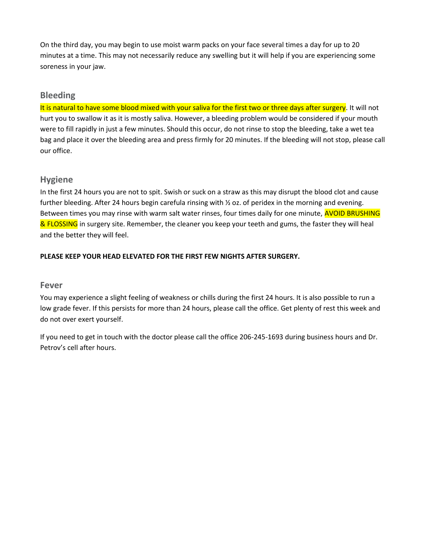On the third day, you may begin to use moist warm packs on your face several times a day for up to 20 minutes at a time. This may not necessarily reduce any swelling but it will help if you are experiencing some soreness in your jaw.

## **Bleeding**

It is natural to have some blood mixed with your saliva for the first two or three days after surgery. It will not hurt you to swallow it as it is mostly saliva. However, a bleeding problem would be considered if your mouth were to fill rapidly in just a few minutes. Should this occur, do not rinse to stop the bleeding, take a wet tea bag and place it over the bleeding area and press firmly for 20 minutes. If the bleeding will not stop, please call our office.

# **Hygiene**

In the first 24 hours you are not to spit. Swish or suck on a straw as this may disrupt the blood clot and cause further bleeding. After 24 hours begin carefula rinsing with  $\frac{1}{2}$  oz. of peridex in the morning and evening. Between times you may rinse with warm salt water rinses, four times daily for one minute, **AVOID BRUSHING** & FLOSSING in surgery site. Remember, the cleaner you keep your teeth and gums, the faster they will heal and the better they will feel.

### **PLEASE KEEP YOUR HEAD ELEVATED FOR THE FIRST FEW NIGHTS AFTER SURGERY.**

### **Fever**

You may experience a slight feeling of weakness or chills during the first 24 hours. It is also possible to run a low grade fever. If this persists for more than 24 hours, please call the office. Get plenty of rest this week and do not over exert yourself.

If you need to get in touch with the doctor please call the office 206-245-1693 during business hours and Dr. Petrov's cell after hours.